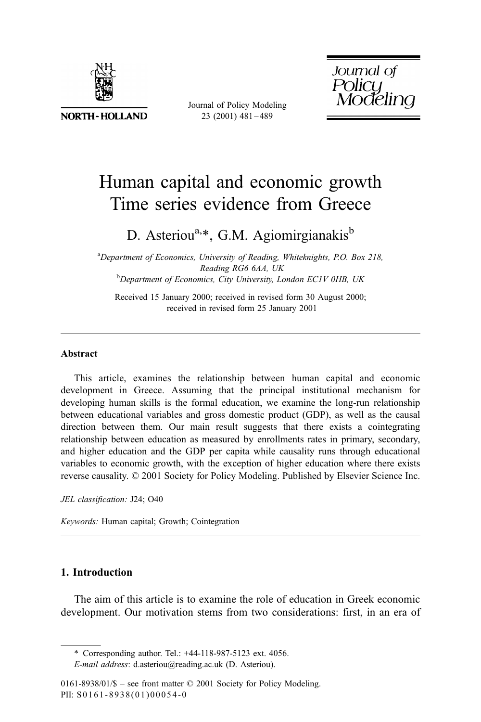

**NORTH-HOLLAND** 

Journal of Policy Modeling 23 (2001) 481 – 489

Journal of ssanareg<br>Policy<br>Modeling

## Human capital and economic growth Time series evidence from Greece

D. Asteriou<sup>a,\*</sup>, G.M. Agiomirgianakis<sup>b</sup>

<sup>a</sup>Department of Economics, University of Reading, Whiteknights, P.O. Box 218, Reading RG6 6AA, UK<br><sup>b</sup>Department of Economics, City University, London EC1V 0HB, UK

Received 15 January 2000; received in revised form 30 August 2000; received in revised form 25 January 2001

## Abstract

This article, examines the relationship between human capital and economic development in Greece. Assuming that the principal institutional mechanism for developing human skills is the formal education, we examine the long-run relationship between educational variables and gross domestic product (GDP), as well as the causal direction between them. Our main result suggests that there exists a cointegrating relationship between education as measured by enrollments rates in primary, secondary, and higher education and the GDP per capita while causality runs through educational variables to economic growth, with the exception of higher education where there exists reverse causality. © 2001 Society for Policy Modeling. Published by Elsevier Science Inc.

JEL classification: J24; O40

Keywords: Human capital; Growth; Cointegration

## 1. Introduction

The aim of this article is to examine the role of education in Greek economic development. Our motivation stems from two considerations: first, in an era of

<sup>\*</sup> Corresponding author. Tel.: +44-118-987-5123 ext. 4056.

E-mail address: d.asteriou@reading.ac.uk (D. Asteriou).

 $0161-8938/01/\$$  – see front matter  $\degree$  2001 Society for Policy Modeling. PII: S0161-8938(01)00054-0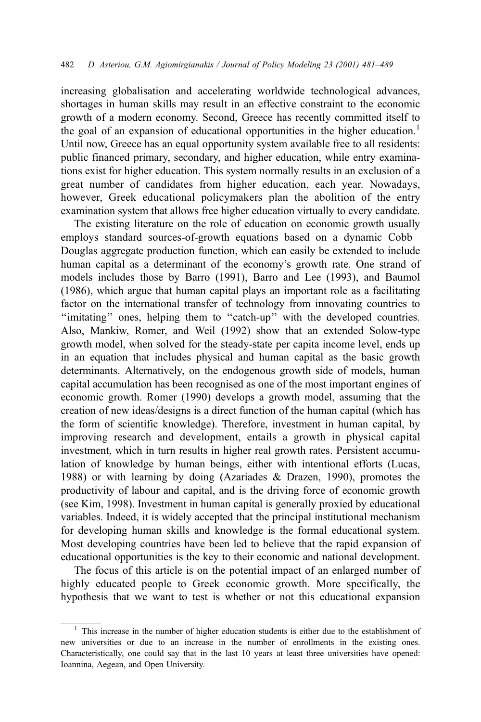increasing globalisation and accelerating worldwide technological advances, shortages in human skills may result in an effective constraint to the economic growth of a modern economy. Second, Greece has recently committed itself to the goal of an expansion of educational opportunities in the higher education.<sup>1</sup> Until now, Greece has an equal opportunity system available free to all residents: public financed primary, secondary, and higher education, while entry examinations exist for higher education. This system normally results in an exclusion of a great number of candidates from higher education, each year. Nowadays, however, Greek educational policymakers plan the abolition of the entry examination system that allows free higher education virtually to every candidate.

The existing literature on the role of education on economic growth usually employs standard sources-of-growth equations based on a dynamic Cobb – Douglas aggregate production function, which can easily be extended to include human capital as a determinant of the economy's growth rate. One strand of models includes those by Barro (1991), Barro and Lee (1993), and Baumol (1986), which argue that human capital plays an important role as a facilitating factor on the international transfer of technology from innovating countries to "imitating" ones, helping them to "catch-up" with the developed countries. Also, Mankiw, Romer, and Weil (1992) show that an extended Solow-type growth model, when solved for the steady-state per capita income level, ends up in an equation that includes physical and human capital as the basic growth determinants. Alternatively, on the endogenous growth side of models, human capital accumulation has been recognised as one of the most important engines of economic growth. Romer (1990) develops a growth model, assuming that the creation of new ideas/designs is a direct function of the human capital (which has the form of scientific knowledge). Therefore, investment in human capital, by improving research and development, entails a growth in physical capital investment, which in turn results in higher real growth rates. Persistent accumulation of knowledge by human beings, either with intentional efforts (Lucas, 1988) or with learning by doing (Azariades & Drazen, 1990), promotes the productivity of labour and capital, and is the driving force of economic growth (see Kim, 1998). Investment in human capital is generally proxied by educational variables. Indeed, it is widely accepted that the principal institutional mechanism for developing human skills and knowledge is the formal educational system. Most developing countries have been led to believe that the rapid expansion of educational opportunities is the key to their economic and national development.

The focus of this article is on the potential impact of an enlarged number of highly educated people to Greek economic growth. More specifically, the hypothesis that we want to test is whether or not this educational expansion

<sup>&</sup>lt;sup>1</sup> This increase in the number of higher education students is either due to the establishment of new universities or due to an increase in the number of enrollments in the existing ones. Characteristically, one could say that in the last 10 years at least three universities have opened: Ioannina, Aegean, and Open University.